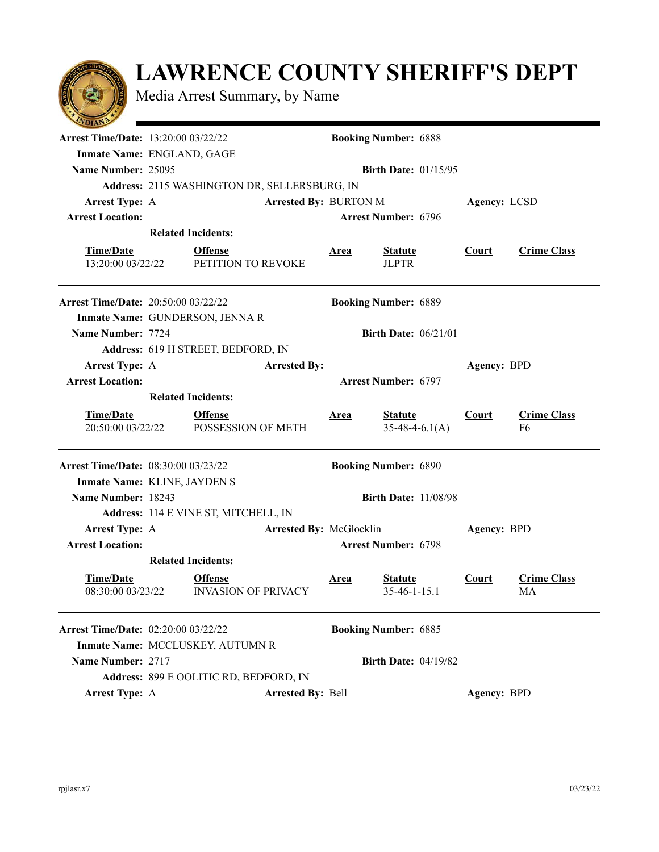

Media Arrest Summary, by Name

| <b>Arrest Time/Date: 13:20:00 03/22/22</b> |                                              | <b>Booking Number: 6888</b>                     |                                                                          |  |  |  |  |  |
|--------------------------------------------|----------------------------------------------|-------------------------------------------------|--------------------------------------------------------------------------|--|--|--|--|--|
|                                            | Inmate Name: ENGLAND, GAGE                   |                                                 |                                                                          |  |  |  |  |  |
| Name Number: 25095                         | <b>Birth Date: 01/15/95</b>                  |                                                 |                                                                          |  |  |  |  |  |
|                                            | Address: 2115 WASHINGTON DR, SELLERSBURG, IN |                                                 |                                                                          |  |  |  |  |  |
| <b>Arrest Type: A</b>                      | <b>Arrested By: BURTON M</b><br>Agency: LCSD |                                                 |                                                                          |  |  |  |  |  |
| <b>Arrest Location:</b>                    |                                              | <b>Arrest Number: 6796</b>                      |                                                                          |  |  |  |  |  |
|                                            | <b>Related Incidents:</b>                    |                                                 |                                                                          |  |  |  |  |  |
| <b>Time/Date</b>                           | <b>Offense</b>                               | <b>Statute</b><br><b>Area</b>                   | <b>Crime Class</b><br><b>Court</b>                                       |  |  |  |  |  |
| 13:20:00 03/22/22                          | PETITION TO REVOKE                           | <b>JLPTR</b>                                    |                                                                          |  |  |  |  |  |
|                                            |                                              |                                                 |                                                                          |  |  |  |  |  |
| <b>Arrest Time/Date: 20:50:00 03/22/22</b> |                                              | <b>Booking Number: 6889</b>                     |                                                                          |  |  |  |  |  |
|                                            | Inmate Name: GUNDERSON, JENNA R              |                                                 |                                                                          |  |  |  |  |  |
| Name Number: 7724                          |                                              | <b>Birth Date: 06/21/01</b>                     |                                                                          |  |  |  |  |  |
|                                            | Address: 619 H STREET, BEDFORD, IN           |                                                 |                                                                          |  |  |  |  |  |
| <b>Arrest Type: A</b>                      | <b>Arrested By:</b>                          |                                                 | Agency: BPD                                                              |  |  |  |  |  |
| <b>Arrest Location:</b>                    |                                              | <b>Arrest Number: 6797</b>                      |                                                                          |  |  |  |  |  |
|                                            | <b>Related Incidents:</b>                    |                                                 |                                                                          |  |  |  |  |  |
| <b>Time/Date</b><br>20:50:00 03/22/22      | <b>Offense</b><br>POSSESSION OF METH         | <b>Statute</b><br><b>Area</b>                   | <b>Crime Class</b><br><b>Court</b><br>$35-48-4-6.1(A)$<br>F <sub>6</sub> |  |  |  |  |  |
| <b>Arrest Time/Date: 08:30:00 03/23/22</b> |                                              | <b>Booking Number: 6890</b>                     |                                                                          |  |  |  |  |  |
|                                            | Inmate Name: KLINE, JAYDEN S                 |                                                 |                                                                          |  |  |  |  |  |
| Name Number: 18243                         |                                              | <b>Birth Date: 11/08/98</b>                     |                                                                          |  |  |  |  |  |
|                                            | Address: 114 E VINE ST, MITCHELL, IN         |                                                 |                                                                          |  |  |  |  |  |
| <b>Arrest Type: A</b>                      |                                              | Arrested By: McGlocklin                         | Agency: BPD                                                              |  |  |  |  |  |
| <b>Arrest Location:</b>                    |                                              | <b>Arrest Number: 6798</b>                      |                                                                          |  |  |  |  |  |
|                                            |                                              |                                                 |                                                                          |  |  |  |  |  |
| <b>Time/Date</b><br>08:30:00 03/23/22      | <b>Offense</b><br><b>INVASION OF PRIVACY</b> | <b>Area</b><br><b>Statute</b><br>$35-46-1-15.1$ | <b>Crime Class</b><br><b>Court</b><br>MA                                 |  |  |  |  |  |
| <b>Arrest Time/Date: 02:20:00 03/22/22</b> |                                              | <b>Booking Number: 6885</b>                     |                                                                          |  |  |  |  |  |
|                                            | Inmate Name: MCCLUSKEY, AUTUMN R             |                                                 |                                                                          |  |  |  |  |  |
|                                            |                                              |                                                 |                                                                          |  |  |  |  |  |
| Name Number: 2717                          |                                              | <b>Birth Date: 04/19/82</b>                     |                                                                          |  |  |  |  |  |
|                                            | Address: 899 E OOLITIC RD, BEDFORD, IN       |                                                 |                                                                          |  |  |  |  |  |